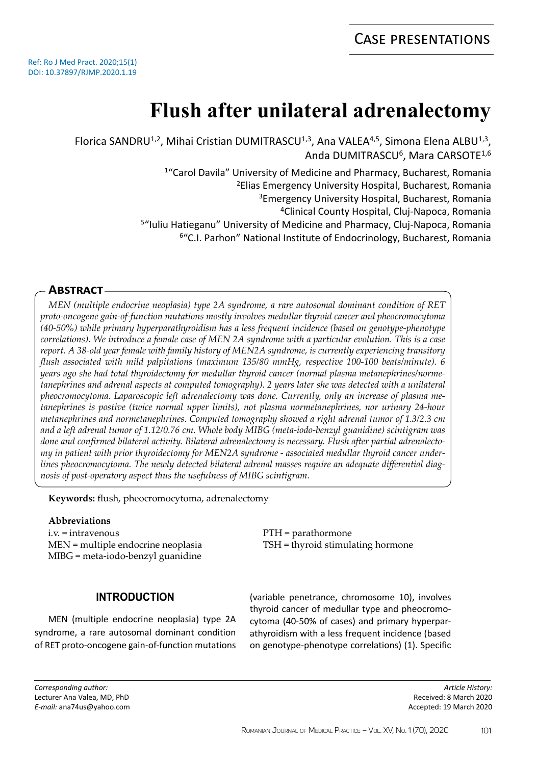# **Flush after unilateral adrenalectomy**

Florica SANDRU<sup>1,2</sup>, Mihai Cristian DUMITRASCU<sup>1,3</sup>, Ana VALEA<sup>4,5</sup>, Simona Elena ALBU<sup>1,3</sup>, Anda DUMITRASCU<sup>6</sup>, Mara CARSOTE<sup>1,6</sup>

<sup>1</sup> "Carol Davila" University of Medicine and Pharmacy, Bucharest, Romania

<sup>2</sup>Elias Emergency University Hospital, Bucharest, Romania

<sup>3</sup>Emergency University Hospital, Bucharest, Romania

<sup>4</sup>Clinical County Hospital, Cluj-Napoca, Romania

<sup>5"</sup>Iuliu Hatieganu" University of Medicine and Pharmacy, Cluj-Napoca, Romania

<sup>6</sup>"C.I. Parhon" National Institute of Endocrinology, Bucharest, Romania

## **Abstract**

*MEN (multiple endocrine neoplasia) type 2A syndrome, a rare autosomal dominant condition of RET proto-oncogene gain-of-function mutations mostly involves medullar thyroid cancer and pheocromocytoma (40-50%) while primary hyperparathyroidism has a less frequent incidence (based on genotype-phenotype correlations). We introduce a female case of MEN 2A syndrome with a particular evolution. This is a case report. A 38-old year female with family history of MEN2A syndrome, is currently experiencing transitory flush associated with mild palpitations (maximum 135/80 mmHg, respective 100-100 beats/minute). 6 years ago she had total thyroidectomy for medullar thyroid cancer (normal plasma metanephrines/normetanephrines and adrenal aspects at computed tomography). 2 years later she was detected with a unilateral pheocromocytoma. Laparoscopic left adrenalectomy was done. Currently, only an increase of plasma metanephrines is postive (twice normal upper limits), not plasma normetanephrines, nor urinary 24-hour metanephrines and normetanephrines. Computed tomography showed a right adrenal tumor of 1.3/2.3 cm and a left adrenal tumor of 1.12/0.76 cm. Whole body MIBG (meta-iodo-benzyl guanidine) scintigram was done and confirmed bilateral activity. Bilateral adrenalectomy is necessary. Flush after partial adrenalectomy in patient with prior thyroidectomy for MEN2A syndrome - associated medullar thyroid cancer underlines pheocromocytoma. The newly detected bilateral adrenal masses require an adequate differential diagnosis of post-operatory aspect thus the usefulness of MIBG scintigram.*

**Keywords:** flush, pheocromocytoma, adrenalectomy

#### **Abbreviations**

i.v. = intravenous MEN = multiple endocrine neoplasia MIBG = meta-iodo-benzyl guanidine

## **INTRODUCTION**

MEN (multiple endocrine neoplasia) type 2A syndrome, a rare autosomal dominant condition of RET proto-oncogene gain-of-function mutations

PTH = parathormone TSH = thyroid stimulating hormone

(variable penetrance, chromosome 10), involves thyroid cancer of medullar type and pheocromocytoma (40-50% of cases) and primary hyperparathyroidism with a less frequent incidence (based on genotype-phenotype correlations) (1). Specific

*Article History:* Received: 8 March 2020 Accepted: 19 March 2020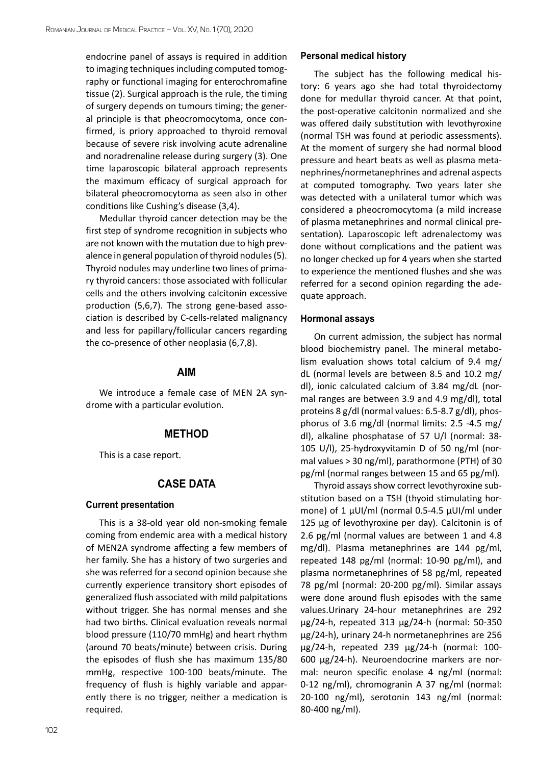endocrine panel of assays is required in addition to imaging techniques including computed tomography or functional imaging for enterochromafine tissue (2). Surgical approach is the rule, the timing of surgery depends on tumours timing; the general principle is that pheocromocytoma, once confirmed, is priory approached to thyroid removal because of severe risk involving acute adrenaline and noradrenaline release during surgery (3). One time laparoscopic bilateral approach represents the maximum efficacy of surgical approach for bilateral pheocromocytoma as seen also in other conditions like Cushing's disease (3,4).

Medullar thyroid cancer detection may be the first step of syndrome recognition in subjects who are not known with the mutation due to high prevalence in general population of thyroid nodules (5). Thyroid nodules may underline two lines of primary thyroid cancers: those associated with follicular cells and the others involving calcitonin excessive production (5,6,7). The strong gene-based association is described by C-cells-related malignancy and less for papillary/follicular cancers regarding the co-presence of other neoplasia (6,7,8).

#### **AIM**

We introduce a female case of MEN 2A syndrome with a particular evolution.

## **METHOD**

This is a case report.

## **CASE DATA**

#### **Current presentation**

This is a 38-old year old non-smoking female coming from endemic area with a medical history of MEN2A syndrome affecting a few members of her family. She has a history of two surgeries and she was referred for a second opinion because she currently experience transitory short episodes of generalized flush associated with mild palpitations without trigger. She has normal menses and she had two births. Clinical evaluation reveals normal blood pressure (110/70 mmHg) and heart rhythm (around 70 beats/minute) between crisis. During the episodes of flush she has maximum 135/80 mmHg, respective 100-100 beats/minute. The frequency of flush is highly variable and apparently there is no trigger, neither a medication is required.

#### **Personal medical history**

The subject has the following medical history: 6 years ago she had total thyroidectomy done for medullar thyroid cancer. At that point, the post-operative calcitonin normalized and she was offered daily substitution with levothyroxine (normal TSH was found at periodic assessments). At the moment of surgery she had normal blood pressure and heart beats as well as plasma metanephrines/normetanephrines and adrenal aspects at computed tomography. Two years later she was detected with a unilateral tumor which was considered a pheocromocytoma (a mild increase of plasma metanephrines and normal clinical presentation). Laparoscopic left adrenalectomy was done without complications and the patient was no longer checked up for 4 years when she started to experience the mentioned flushes and she was referred for a second opinion regarding the adequate approach.

#### **Hormonal assays**

On current admission, the subject has normal blood biochemistry panel. The mineral metabolism evaluation shows total calcium of 9.4 mg/ dL (normal levels are between 8.5 and 10.2 mg/ dl), ionic calculated calcium of 3.84 mg/dL (normal ranges are between 3.9 and 4.9 mg/dl), total proteins 8 g/dl (normal values: 6.5-8.7 g/dl), phosphorus of 3.6 mg/dl (normal limits: 2.5 -4.5 mg/ dl), alkaline phosphatase of 57 U/l (normal: 38- 105 U/l), 25-hydroxyvitamin D of 50 ng/ml (normal values > 30 ng/ml), parathormone (PTH) of 30 pg/ml (normal ranges between 15 and 65 pg/ml).

Thyroid assays show correct levothyroxine substitution based on a TSH (thyoid stimulating hormone) of 1 µUI/ml (normal 0.5-4.5 µUI/ml under 125 µg of levothyroxine per day). Calcitonin is of 2.6 pg/ml (normal values are between 1 and 4.8 mg/dl). Plasma metanephrines are 144 pg/ml, repeated 148 pg/ml (normal: 10-90 pg/ml), and plasma normetanephrines of 58 pg/ml, repeated 78 pg/ml (normal: 20-200 pg/ml). Similar assays were done around flush episodes with the same values.Urinary 24-hour metanephrines are 292 µg/24-h, repeated 313 µg/24-h (normal: 50-350 µg/24-h), urinary 24-h normetanephrines are 256 µg/24-h, repeated 239 µg/24-h (normal: 100- 600 µg/24-h). Neuroendocrine markers are normal: neuron specific enolase 4 ng/ml (normal: 0-12 ng/ml), chromogranin A 37 ng/ml (normal: 20-100 ng/ml), serotonin 143 ng/ml (normal: 80-400 ng/ml).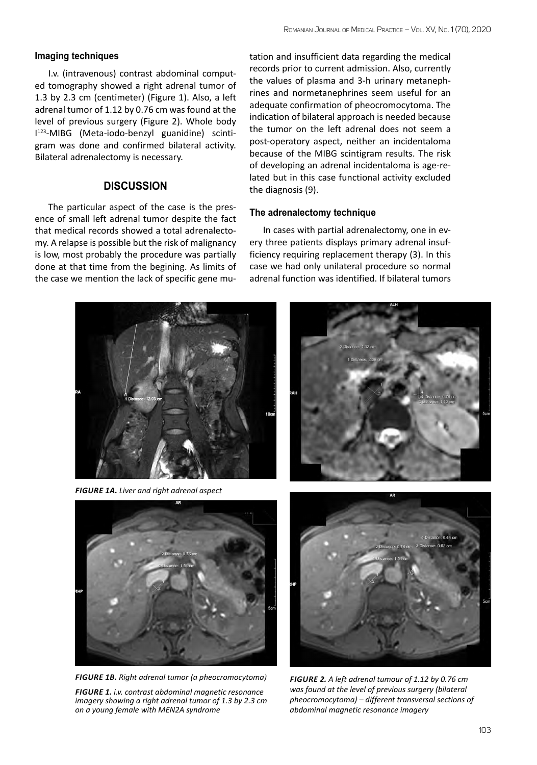#### **Imaging techniques**

I.v. (intravenous) contrast abdominal computed tomography showed a right adrenal tumor of 1.3 by 2.3 cm (centimeter) (Figure 1). Also, a left adrenal tumor of 1.12 by 0.76 cm was found at the level of previous surgery (Figure 2). Whole body I 123-MIBG (Meta-iodo-benzyl guanidine) scintigram was done and confirmed bilateral activity. Bilateral adrenalectomy is necessary.

## **DISCUSSION**

The particular aspect of the case is the presence of small left adrenal tumor despite the fact that medical records showed a total adrenalectomy. A relapse is possible but the risk of malignancy is low, most probably the procedure was partially done at that time from the begining. As limits of the case we mention the lack of specific gene mu-

tation and insufficient data regarding the medical records prior to current admission. Also, currently the values of plasma and 3-h urinary metanephrines and normetanephrines seem useful for an adequate confirmation of pheocromocytoma. The indication of bilateral approach is needed because the tumor on the left adrenal does not seem a post-operatory aspect, neither an incidentaloma because of the MIBG scintigram results. The risk of developing an adrenal incidentaloma is age-related but in this case functional activity excluded the diagnosis (9).

#### **The adrenalectomy technique**

In cases with partial adrenalectomy, one in every three patients displays primary adrenal insufficiency requiring replacement therapy (3). In this case we had only unilateral procedure so normal adrenal function was identified. If bilateral tumors



*Figure 1A. Liver and right adrenal aspect*



*Figure 1B. Right adrenal tumor (a pheocromocytoma)*

*Figure 1. i.v. contrast abdominal magnetic resonance imagery showing a right adrenal tumor of 1.3 by 2.3 cm on a young female with MEN2A syndrome* 





*Figure 2. A left adrenal tumour of 1.12 by 0.76 cm was found at the level of previous surgery (bilateral pheocromocytoma) – different transversal sections of abdominal magnetic resonance imagery*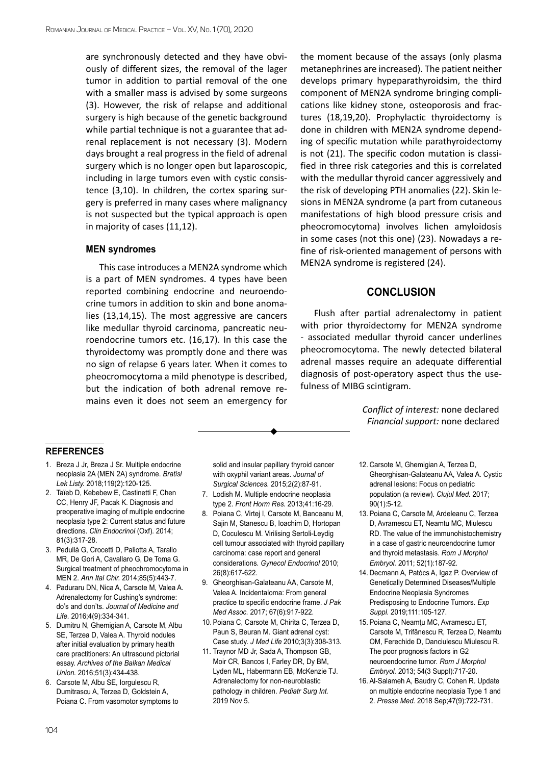are synchronously detected and they have obviously of different sizes, the removal of the lager tumor in addition to partial removal of the one with a smaller mass is advised by some surgeons (3). However, the risk of relapse and additional surgery is high because of the genetic background while partial technique is not a guarantee that adrenal replacement is not necessary (3). Modern days brought a real progress in the field of adrenal surgery which is no longer open but laparoscopic, including in large tumors even with cystic consistence (3,10). In children, the cortex sparing surgery is preferred in many cases where malignancy is not suspected but the typical approach is open in majority of cases (11,12).

#### **MEN syndromes**

This case introduces a MEN2A syndrome which is a part of MEN syndromes. 4 types have been reported combining endocrine and neuroendocrine tumors in addition to skin and bone anomalies (13,14,15). The most aggressive are cancers like medullar thyroid carcinoma, pancreatic neuroendocrine tumors etc. (16,17). In this case the thyroidectomy was promptly done and there was no sign of relapse 6 years later. When it comes to pheocromocytoma a mild phenotype is described, but the indication of both adrenal remove remains even it does not seem an emergency for

the moment because of the assays (only plasma metanephrines are increased). The patient neither develops primary hypeparathyroidsim, the third component of MEN2A syndrome bringing complications like kidney stone, osteoporosis and fractures (18,19,20). Prophylactic thyroidectomy is done in children with MEN2A syndrome depending of specific mutation while parathyroidectomy is not (21). The specific codon mutation is classified in three risk categories and this is correlated with the medullar thyroid cancer aggressively and the risk of developing PTH anomalies (22). Skin lesions in MEN2A syndrome (a part from cutaneous manifestations of high blood pressure crisis and pheocromocytoma) involves lichen amyloidosis in some cases (not this one) (23). Nowadays a refine of risk-oriented management of persons with MEN2A syndrome is registered (24).

#### **CONCLUSION**

Flush after partial adrenalectomy in patient with prior thyroidectomy for MEN2A syndrome - associated medullar thyroid cancer underlines pheocromocytoma. The newly detected bilateral adrenal masses require an adequate differential diagnosis of post-operatory aspect thus the usefulness of MIBG scintigram.

> *Conflict of interest:* none declared *Financial support:* none declared

#### **references**

- 1. [Breza J Jr,](https://www.ncbi.nlm.nih.gov/pubmed/?term=Breza J Jr%5BAuthor%5D&cauthor=true&cauthor_uid=29455549) [Breza J Sr.](https://www.ncbi.nlm.nih.gov/pubmed/?term=Breza J Sr%5BAuthor%5D&cauthor=true&cauthor_uid=29455549) Multiple endocrine neoplasia 2A (MEN 2A) syndrome. *[Bratisl](https://www.ncbi.nlm.nih.gov/pubmed/29455549) [Lek Listy.](https://www.ncbi.nlm.nih.gov/pubmed/29455549)* 2018;119(2):120-125.
- 2. [Taïeb D](https://www.ncbi.nlm.nih.gov/pubmed/?term=Ta%C3%AFeb D%5BAuthor%5D&cauthor=true&cauthor_uid=24889858), [Kebebew E](https://www.ncbi.nlm.nih.gov/pubmed/?term=Kebebew E%5BAuthor%5D&cauthor=true&cauthor_uid=24889858), [Castinetti F,](https://www.ncbi.nlm.nih.gov/pubmed/?term=Castinetti F%5BAuthor%5D&cauthor=true&cauthor_uid=24889858) [Chen](https://www.ncbi.nlm.nih.gov/pubmed/?term=Chen CC%5BAuthor%5D&cauthor=true&cauthor_uid=24889858) [CC,](https://www.ncbi.nlm.nih.gov/pubmed/?term=Chen CC%5BAuthor%5D&cauthor=true&cauthor_uid=24889858) [Henry JF](https://www.ncbi.nlm.nih.gov/pubmed/?term=Henry JF%5BAuthor%5D&cauthor=true&cauthor_uid=24889858), [Pacak K](https://www.ncbi.nlm.nih.gov/pubmed/?term=Pacak K%5BAuthor%5D&cauthor=true&cauthor_uid=24889858). Diagnosis and preoperative imaging of multiple endocrine neoplasia type 2: Current status and future directions. *[Clin Endocrinol](https://www.ncbi.nlm.nih.gov/pubmed/24889858)* (Oxf). 2014; 81(3):317-28.
- 3. [Pedullà G](https://www.ncbi.nlm.nih.gov/pubmed/?term=Pedull%C3%A0 G%5BAuthor%5D&cauthor=true&cauthor_uid=24571990), [Crocetti D](https://www.ncbi.nlm.nih.gov/pubmed/?term=Crocetti D%5BAuthor%5D&cauthor=true&cauthor_uid=24571990), [Paliotta A,](https://www.ncbi.nlm.nih.gov/pubmed/?term=Paliotta A%5BAuthor%5D&cauthor=true&cauthor_uid=24571990) [Tarallo](https://www.ncbi.nlm.nih.gov/pubmed/?term=Tarallo MR%5BAuthor%5D&cauthor=true&cauthor_uid=24571990) [MR,](https://www.ncbi.nlm.nih.gov/pubmed/?term=Tarallo MR%5BAuthor%5D&cauthor=true&cauthor_uid=24571990) [De Gori A,](https://www.ncbi.nlm.nih.gov/pubmed/?term=De Gori A%5BAuthor%5D&cauthor=true&cauthor_uid=24571990) [Cavallaro G,](https://www.ncbi.nlm.nih.gov/pubmed/?term=Cavallaro G%5BAuthor%5D&cauthor=true&cauthor_uid=24571990) [De Toma G](https://www.ncbi.nlm.nih.gov/pubmed/?term=De Toma G%5BAuthor%5D&cauthor=true&cauthor_uid=24571990). Surgical treatment of pheochromocytoma in MEN 2. *[Ann Ital Chir.](https://www.ncbi.nlm.nih.gov/pubmed/24571990)* 2014;85(5):443-7.
- 4. Paduraru DN, Nica A, Carsote M, Valea A. Adrenalectomy for Cushing's syndrome: do's and don'ts. *Journal of Medicine and Life.* 2016;4(9):334-341.
- 5. Dumitru N, Ghemigian A, Carsote M, Albu SE, Terzea D, Valea A. Thyroid nodules after initial evaluation by primary health care practitioners: An ultrasound pictorial essay. *Archives of the Balkan Medical Union.* 2016;51(3):434-438.
- 6. Carsote M, Albu SE, Iorgulescu R, Dumitrascu A, Terzea D, Goldstein A, Poiana C. From vasomotor symptoms to

solid and insular papillary thyroid cancer with oxyphil variant areas. *Journal of Surgical Sciences.* 2015;2(2):87-91.

- 7. [Lodish M](https://www.ncbi.nlm.nih.gov/pubmed/?term=Lodish M%5BAuthor%5D&cauthor=true&cauthor_uid=23652668). Multiple endocrine neoplasia type 2. *[Front Horm Res.](https://www.ncbi.nlm.nih.gov/pubmed/23652668)* 2013;41:16-29.
- 8. Poiana C, Virtej I, Carsote M, Banceanu M, Sajin M, Stanescu B, Ioachim D, Hortopan D, Coculescu M. Virilising Sertoli-Leydig cell tumour associated with thyroid papillary carcinoma: case report and general considerations. *Gynecol Endocrinol* 2010; 26(8):617-622.
- 9. [Gheorghisan-Galateanu AA,](http://www.ncbi.nlm.nih.gov/pubmed/?term=Gheorghisan-Galateanu AA%5BAuthor%5D&cauthor=true&cauthor_uid=26968295) [Carsote M](http://www.ncbi.nlm.nih.gov/pubmed/?term=Carsote M%5BAuthor%5D&cauthor=true&cauthor_uid=26968295), Valea A. Incidentaloma: From general practice to specific endocrine frame. *[J Pak](http://www.ncbi.nlm.nih.gov/pubmed/26968295) [Med Assoc.](http://www.ncbi.nlm.nih.gov/pubmed/26968295)* 2017; 67(6):917-922.
- 10. Poiana C, Carsote M, Chirita C, Terzea D, Paun S, Beuran M. Giant adrenal cyst: Case study. *J Med Life* 2010;3(3):308-313.
- 11. [Traynor MD Jr](https://www.ncbi.nlm.nih.gov/pubmed/?term=Traynor MD Jr%5BAuthor%5D&cauthor=true&cauthor_uid=31691026), [Sada A](https://www.ncbi.nlm.nih.gov/pubmed/?term=Sada A%5BAuthor%5D&cauthor=true&cauthor_uid=31691026), [Thompson GB,](https://www.ncbi.nlm.nih.gov/pubmed/?term=Thompson GB%5BAuthor%5D&cauthor=true&cauthor_uid=31691026) [Moir CR](https://www.ncbi.nlm.nih.gov/pubmed/?term=Moir CR%5BAuthor%5D&cauthor=true&cauthor_uid=31691026), [Bancos I](https://www.ncbi.nlm.nih.gov/pubmed/?term=Bancos I%5BAuthor%5D&cauthor=true&cauthor_uid=31691026), [Farley DR,](https://www.ncbi.nlm.nih.gov/pubmed/?term=Farley DR%5BAuthor%5D&cauthor=true&cauthor_uid=31691026) [Dy BM](https://www.ncbi.nlm.nih.gov/pubmed/?term=Dy BM%5BAuthor%5D&cauthor=true&cauthor_uid=31691026), [Lyden ML](https://www.ncbi.nlm.nih.gov/pubmed/?term=Lyden ML%5BAuthor%5D&cauthor=true&cauthor_uid=31691026), [Habermann EB](https://www.ncbi.nlm.nih.gov/pubmed/?term=Habermann EB%5BAuthor%5D&cauthor=true&cauthor_uid=31691026), [McKenzie TJ.](https://www.ncbi.nlm.nih.gov/pubmed/?term=McKenzie TJ%5BAuthor%5D&cauthor=true&cauthor_uid=31691026) Adrenalectomy for non-neuroblastic pathology in children. *[Pediatr Surg Int.](https://www.ncbi.nlm.nih.gov/pubmed/31691026)* 2019 Nov 5.
- 12. [Carsote M](https://www.ncbi.nlm.nih.gov/pubmed/?term=Carsote M%5BAuthor%5D&cauthor=true&cauthor_uid=28246490), [Ghemigian A,](https://www.ncbi.nlm.nih.gov/pubmed/?term=Ghemigian A%5BAuthor%5D&cauthor=true&cauthor_uid=28246490) [Terzea D](https://www.ncbi.nlm.nih.gov/pubmed/?term=Terzea D%5BAuthor%5D&cauthor=true&cauthor_uid=28246490), [Gheorghisan-Galateanu AA](https://www.ncbi.nlm.nih.gov/pubmed/?term=Gheorghisan-Galateanu AA%5BAuthor%5D&cauthor=true&cauthor_uid=28246490), [Valea A.](https://www.ncbi.nlm.nih.gov/pubmed/?term=Valea A%5BAuthor%5D&cauthor=true&cauthor_uid=28246490) Cystic adrenal lesions: Focus on pediatric population (a review). *[Clujul Med.](https://www.ncbi.nlm.nih.gov/pubmed/?term=adrenal+cyst+pediatric+carsote)* 2017; 90(1):5-12.
- 13. [Poiana C,](https://www.ncbi.nlm.nih.gov/pubmed/?term=Poian%C4%83 C%5BAuthor%5D&cauthor=true&cauthor_uid=21424054) [Carsote M](https://www.ncbi.nlm.nih.gov/pubmed/?term=Car%C5%9Fote M%5BAuthor%5D&cauthor=true&cauthor_uid=21424054), [Ardeleanu C,](https://www.ncbi.nlm.nih.gov/pubmed/?term=Ardeleanu C%5BAuthor%5D&cauthor=true&cauthor_uid=21424054) [Terzea](https://www.ncbi.nlm.nih.gov/pubmed/?term=Terzea D%5BAuthor%5D&cauthor=true&cauthor_uid=21424054) [D](https://www.ncbi.nlm.nih.gov/pubmed/?term=Terzea D%5BAuthor%5D&cauthor=true&cauthor_uid=21424054), [Avramescu ET](https://www.ncbi.nlm.nih.gov/pubmed/?term=Avramescu ET%5BAuthor%5D&cauthor=true&cauthor_uid=21424054), [Neamtu MC,](https://www.ncbi.nlm.nih.gov/pubmed/?term=Neam%C5%A3u MC%5BAuthor%5D&cauthor=true&cauthor_uid=21424054) [Miulescu](https://www.ncbi.nlm.nih.gov/pubmed/?term=Miulescu RD%5BAuthor%5D&cauthor=true&cauthor_uid=21424054) [RD.](https://www.ncbi.nlm.nih.gov/pubmed/?term=Miulescu RD%5BAuthor%5D&cauthor=true&cauthor_uid=21424054) The value of the immunohistochemistry in a case of gastric neuroendocrine tumor and thyroid metastasis. *[Rom J Morphol](https://www.ncbi.nlm.nih.gov/pubmed/21424054) [Embryol.](https://www.ncbi.nlm.nih.gov/pubmed/21424054)* 2011; 52(1):187-92.
- 14. [Decmann A](https://www.ncbi.nlm.nih.gov/pubmed/?term=Decmann A%5BAuthor%5D&cauthor=true&cauthor_uid=31588530), [Patócs A,](https://www.ncbi.nlm.nih.gov/pubmed/?term=Pat%C3%B3cs A%5BAuthor%5D&cauthor=true&cauthor_uid=31588530) [Igaz P](https://www.ncbi.nlm.nih.gov/pubmed/?term=Igaz P%5BAuthor%5D&cauthor=true&cauthor_uid=31588530). Overview of Genetically Determined Diseases/Multiple Endocrine Neoplasia Syndromes Predisposing to Endocrine Tumors. *[Exp](https://www.ncbi.nlm.nih.gov/pubmed/31588530) [Suppl.](https://www.ncbi.nlm.nih.gov/pubmed/31588530)* 2019;111:105-127.
- 15. [Poiana C,](https://www.ncbi.nlm.nih.gov/pubmed/?term=Poian%C4%83 C%5BAuthor%5D&cauthor=true&cauthor_uid=24322017) Neamţu MC, [Avramescu ET](https://www.ncbi.nlm.nih.gov/pubmed/?term=Avramescu ET%5BAuthor%5D&cauthor=true&cauthor_uid=24322017), [Carsote M](https://www.ncbi.nlm.nih.gov/pubmed/?term=Car%C5%9Fote M%5BAuthor%5D&cauthor=true&cauthor_uid=24322017), [Trifănescu R](https://www.ncbi.nlm.nih.gov/pubmed/?term=Trif%C4%83nescu R%5BAuthor%5D&cauthor=true&cauthor_uid=24322017), [Terzea D,](https://www.ncbi.nlm.nih.gov/pubmed/?term=Terzea D%5BAuthor%5D&cauthor=true&cauthor_uid=24322017) [Neamtu](https://www.ncbi.nlm.nih.gov/pubmed/?term=Neam%C5%A3u OM%5BAuthor%5D&cauthor=true&cauthor_uid=24322017) [OM,](https://www.ncbi.nlm.nih.gov/pubmed/?term=Neam%C5%A3u OM%5BAuthor%5D&cauthor=true&cauthor_uid=24322017) [Ferechide D](https://www.ncbi.nlm.nih.gov/pubmed/?term=Ferechide D%5BAuthor%5D&cauthor=true&cauthor_uid=24322017), [Danciulescu Miulescu R.](https://www.ncbi.nlm.nih.gov/pubmed/?term=D%C4%83nciulescu Miulescu R%5BAuthor%5D&cauthor=true&cauthor_uid=24322017) The poor prognosis factors in G2 neuroendocrine tumor. *[Rom J Morphol](https://www.ncbi.nlm.nih.gov/pubmed/24322017) [Embryol.](https://www.ncbi.nlm.nih.gov/pubmed/24322017)* 2013; 54(3 Suppl):717-20.
- 16. [Al-Salameh A,](https://www.ncbi.nlm.nih.gov/pubmed/?term=Al-Salameh A%5BAuthor%5D&cauthor=true&cauthor_uid=29909163) [Baudry C,](https://www.ncbi.nlm.nih.gov/pubmed/?term=Baudry C%5BAuthor%5D&cauthor=true&cauthor_uid=29909163) [Cohen R](https://www.ncbi.nlm.nih.gov/pubmed/?term=Cohen R%5BAuthor%5D&cauthor=true&cauthor_uid=29909163). Update on multiple endocrine neoplasia Type 1 and 2. *[Presse Med.](https://www.ncbi.nlm.nih.gov/pubmed/29909163)* 2018 Sep;47(9):722-731.